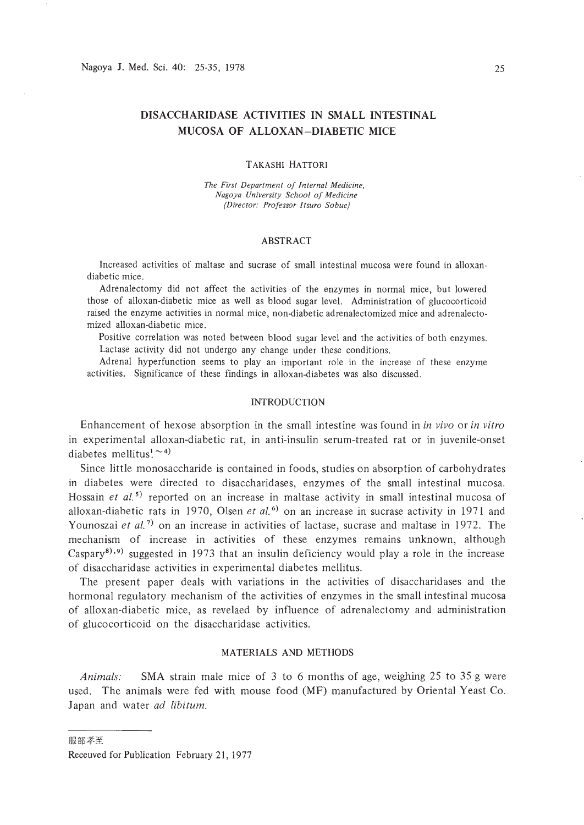# **DISACCHARIDASE ACTIVITIES IN SMALL INTESTINAL MUCOSA OF ALLOXAN-DIABETIC MICE**

### TAKASHI HATTORI

*The First Department of Internal Medicine. Nagoya University School of Medicine (Director: Professor Itsuro Sobue)*

## ABSTRACT

Increased activities of maltase and sucrase of small intestinal mucosa were found in alloxandiabetic mice.

Adrenalectomy did not affect the activities of the enzymes in normal mice, but lowered those of alloxan-diabetic mice as well as blood sugar level. Administration of glucocorticoid raised the enzyme activities in normal mice, non-diabetic adrenalectomized mice and adrenalectomized alloxan-diabetic mice.

Positive correlation was noted between blood sugar level and the activities of both enzymes. Lactase activity did not undergo any change under these conditions.

Adrenal hyperfunction seems to play an important role in the increase of these enzyme activities. Significance of these findings in alloxan-diabetes was also discussed.

## INTRODUCTION

Enhancement of hexose absorption in the small intestine was found in *in vivo* or *in vitro* in experimental alloxan-diabetic rat, in anti-insulin serum-treated rat or in juvenile-onset diabetes mellitus!  $\sim$  4)

Since little monosaccharide is contained in foods, studies on absorption of carbohydrates in diabetes were directed to disaccharidases, enzymes of the small intestinal mucosa. Hossain *et al.*<sup>5</sup> reported on an increase in maltase activity in small intestinal mucosa of alloxan-diabetic rats in 1970, Olsen *et al.*<sup>6</sup> on an increase in sucrase activity in 1971 and Younoszai et al.<sup>7)</sup> on an increase in activities of lactase, sucrase and maltase in 1972. The mechanism of increase in activities of these enzymes remains unknown, although Caspary<sup>8), 9</sup>) suggested in 1973 that an insulin deficiency would play a role in the increase of disaccharidase activities in experimental diabetes mellitus.

The present paper deals with variations in the activities of disaccharidases and the hormonal regulatory mechanism of the activities of enzymes in the small intestinal mucosa of alloxan-diabetic mice, as revelaed by influence of adrenalectomy and administration of glucocorticoid on the disaccharidase activities.

## MATERIALS AND METHODS

*Animals:* **SMA** strain male mice of 3 to 6 months of age, weighing 25 to 35 g were used. The animals were fed with mouse food (MF) manufactured by Oriental Yeast Co. Japan and water *ad libitum.*

服部孝至

Receuved for Publication February 21, 1977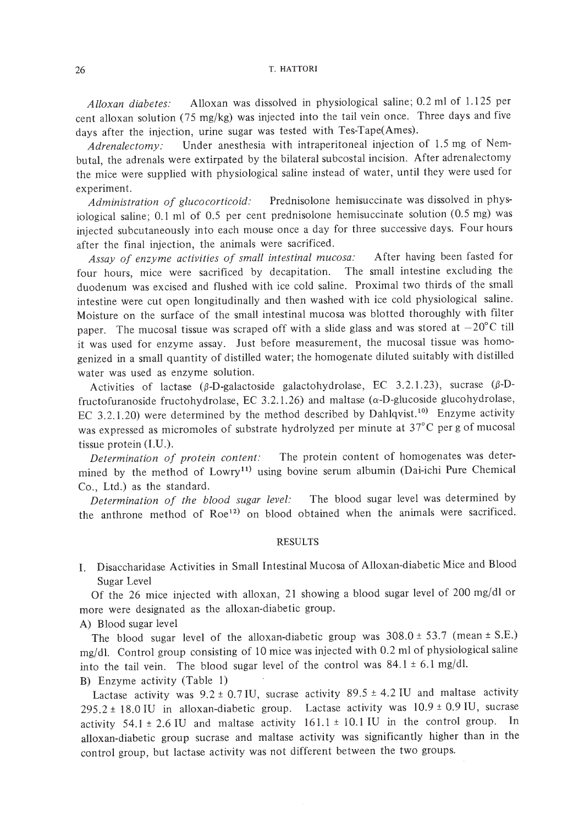*A lloxan diabetes:* Alloxan was dissolved in physiological saline; 0.2 ml of 1.125 per cent alloxan solution (75 mg/kg) was injected into the tail vein once. Three days and five days after the injection, urine sugar was tested with Tes-Tape(Ames).

*Adrenalectomy:* Under anesthesia with intraperitoneal injection of 1.5 mg of Nembutal, the adrenals were extirpated by the bilateral subcostal incision. After adrenalectomy the mice were supplied with physiological saline instead of water, until they were used for experiment.

*Administration of glucocorticoid:* Prednisolone hemisuccinate was dissolved in physiological saline; 0.1 ml of 0.5 per cent prednisolone hemisuccinate solution (0.5 mg) was injected subcutaneously into each mouse once a day for three successive days. Four hours after the final injection, the animals were sacrificed.

*Assay of enzyme activities of small intestinal mucosa:* After having been fasted for four hours, mice were sacrificed by decapitation. The small intestine excluding the duodenum was excised and flushed with ice cold saline. Proximal two thirds of the small intestine were cut open longitudinally and then washed with ice cold physiological saline. Moisture on the surface of the small intestinal mucosa was blotted thoroughly with filter paper. The mucosal tissue was scraped off with a slide glass and was stored at  $-20^{\circ}$ C till it was used for enzyme assay. Just before measurement, the mucosal tissue was homogenized in a small quantity of distilled water; the homogenate diluted suitably with distilled water was used as enzyme solution.

Activities of lactase ( $\beta$ -D-galactoside galactohydrolase, EC 3.2.1.23), sucrase ( $\beta$ -Dfructofuranoside fructohydrolase, EC 3.2.1.26) and maltase  $(\alpha$ -D-glucoside glucohydrolase, EC 3.2.1.20) were determined by the method described by Dahlqvist.<sup>10)</sup> Enzyme activity was expressed as micromoles of substrate hydrolyzed per minute at 37°C per g of mucosal tissue protein (LU.).

*Determination of protein content:* The protein content of homogenates was determined by the method of Lowry<sup>11)</sup> using bovine serum albumin (Dai-ichi Pure Chemical Co., Ltd.) as the standard.

*Determination of the blood sugar level:* The blood sugar level was determined by the anthrone method of  $\text{Roe}^{12}$  on blood obtained when the animals were sacrificed.

### RESULTS

L Disaccharidase Activities in Small Intestinal Mucosa of Alloxan-diabetic Mice and Blood Sugar Level

Of the 26 mice injected with alloxan, 21 showing a blood sugar level of 200 mg/dl or more were designated as the alloxan-diabetic group.

A) Blood sugar level

The blood sugar level of the alloxan-diabetic group was  $308.0 \pm 53.7$  (mean  $\pm$  S.E.) mg/dl. Control group consisting of 10 mice was injected with 0.2 ml of physiological saline into the tail vein. The blood sugar level of the control was  $84.1 \pm 6.1$  mg/dl.

B) Enzyme activity (Table I)

Lactase activity was  $9.2 \pm 0.7$  IU, sucrase activity  $89.5 \pm 4.2$  IU and maltase activity 295.2  $\pm$  18.0 IU in alloxan-diabetic group. Lactase activity was  $10.9 \pm 0.9$  IU, sucrase activity  $54.1 \pm 2.6$  IU and maltase activity  $161.1 \pm 10.1$  IU in the control group. In alloxan-diabetic group sucrase and maltase activity was significantly higher than in the control group, but lactase activity was not different between the two groups.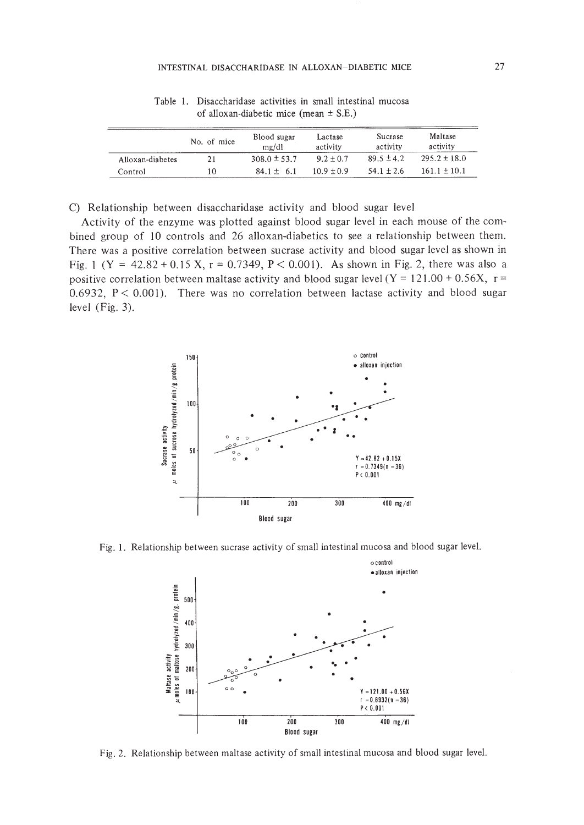|                  | No. of mice | Blood sugar<br>me/dl | Lactase<br>activity | Sucrase<br>activity | Maltase<br>activity |
|------------------|-------------|----------------------|---------------------|---------------------|---------------------|
| Alloxan-diabetes | 21          | $308.0 \pm 53.7$     | $9.2 + 0.7$         | $89.5 \pm 4.2$      | $295.2 \pm 18.0$    |
| Control          | 10          | $84.1 + 6.1$         | $10.9 + 0.9$        | $54.1 + 2.6$        | $161.1 + 10.1$      |

Table I. Disaccharidase activities in small intestinal mucosa of alloxan-diabetic mice (mean ± S.E.)

C) Relationship between disaccharidase activity and blood sugar level

Activity of the enzyme was plotted against blood sugar level in each mouse of the combined group of 10 controls and 26 alloxan-diabetics to see a relationship between them. There was a positive correlation between sucrase activity and blood sugar level as shown in Fig. 1 (Y =  $42.82 + 0.15$  X, r = 0.7349, P < 0.001). As shown in Fig. 2, there was also a positive correlation between maltase activity and blood sugar level  $(Y = 121.00 + 0.56X, r =$ 0.6932,  $P < 0.001$ ). There was no correlation between lactase activity and blood sugar level (Fig. 3).



Fig. I. Relationship between sucrase activity of small intestinal mucosa and blood sugar level.



Fig. 2. Relationship between maltase activity of small intestinal mucosa and blood sugar level.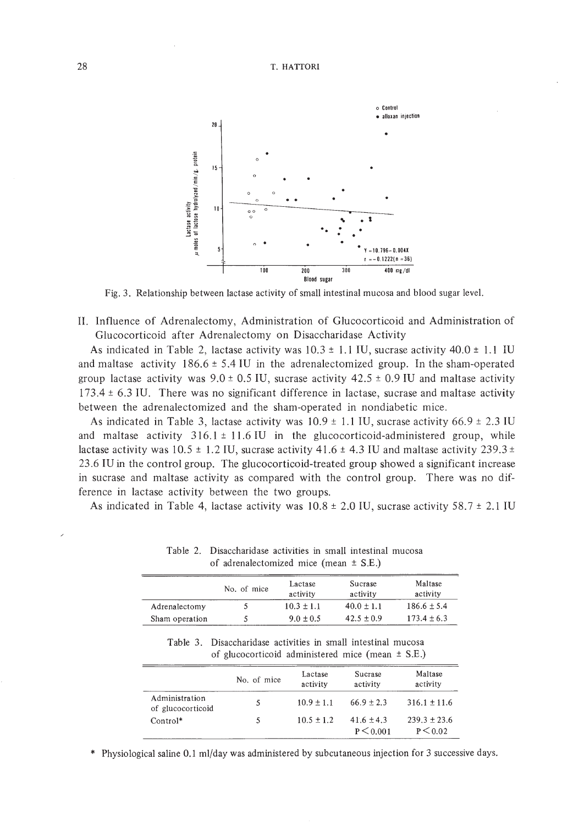

Fig. 3. Relationship between lactase activity of small intestinal mucosa and blood sugar level.

**II.** Influence of Adrenalectomy, Administration of Glucocorticoid and Administration of Glucocorticoid after Adrenalectomy on Disaccharidase Activity

As indicated in Table 2, lactase activity was  $10.3 \pm 1.1$  IU, sucrase activity  $40.0 \pm 1.1$  IU and maltase activity  $186.6 \pm 5.4$  IU in the adrenalectomized group. In the sham-operated group lactase activity was  $9.0 \pm 0.5$  IU, sucrase activity  $42.5 \pm 0.9$  IU and maltase activity 173.4 ± 6.3 IV. There was no significant difference in lactase, sucrase and maltase activity between the adrenalectomized and the sham-operated in nondiabetic mice.

As indicated in Table 3, lactase activity was  $10.9 \pm 1.1$  IU, sucrase activity 66.9  $\pm$  2.3 IU and maltase activity  $316.1 \pm 11.6$  IU in the glucocorticoid-administered group, while lactase activity was  $10.5 \pm 1.2$  IU, sucrase activity  $41.6 \pm 4.3$  IU and maltase activity  $239.3 \pm 1.2$ 23.6 IV in the control group. The glucocorticoid-treated group showed a significant increase in sucrase and maltase activity as compared with the control group. There was no difference in lactase activity between the two groups.

As indicated in Table 4, lactase activity was  $10.8 \pm 2.0$  IU, sucrase activity  $58.7 \pm 2.1$  IU

|                | No. of mice | Lactase<br>activity | Sucrase<br>activity | Maltase<br>activity |  |
|----------------|-------------|---------------------|---------------------|---------------------|--|
| Adrenalectomy  |             | $10.3 \pm 1.1$      | $40.0 \pm 1.1$      | $186.6 \pm 5.4$     |  |
| Sham operation |             | $9.0 \pm 0.5$       | $42.5 + 0.9$        | $173.4 \pm 6.3$     |  |

Table 2. Disaccharidase activities in small intestinal mucosa of adrenalectomized mice (mean  $\pm$  SE.)

Table 3. Disaccharidase activities in small intestinal mucosa of glucocorticoid administered mice (mean ± S.E.)

|                                     | No. of mice | Lactase<br>activity | Sucrase<br>activity             | Maltase<br>activity            |
|-------------------------------------|-------------|---------------------|---------------------------------|--------------------------------|
| Administration<br>of glucocorticoid |             | $10.9 \pm 1.1$      | $66.9 \pm 2.3$                  | $316.1 \pm 11.6$               |
| $Control*$                          | 5           | $10.5 + 1.2$        | $41.6 \pm 4.3$<br>$P \le 0.001$ | $239.3 + 23.6$<br>$P \le 0.02$ |

Physiological saline 0.1 ml/day was administered by subcutaneous injection for 3 successive days.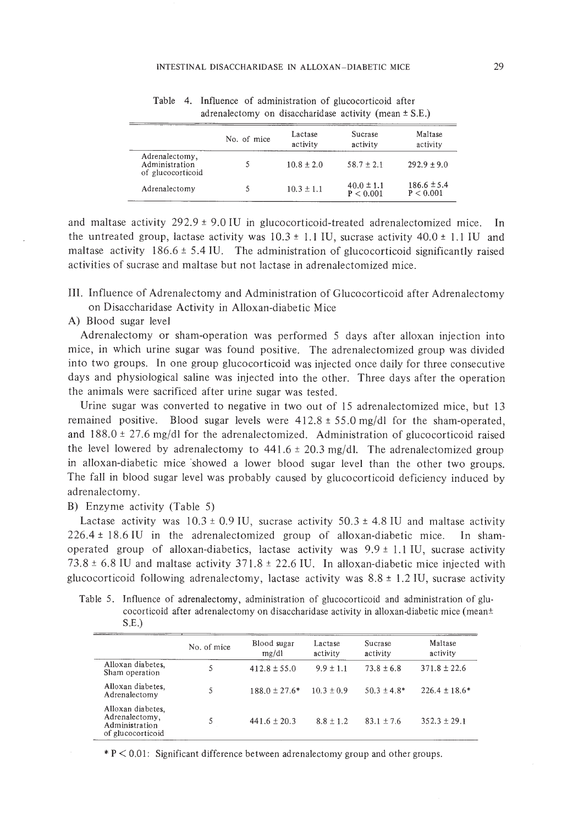|                                                       | No. of mice | Lactase<br>activity | Sucrase<br>activity         | Maltase<br>activity          |
|-------------------------------------------------------|-------------|---------------------|-----------------------------|------------------------------|
| Adrenalectomy,<br>Administration<br>of glucocorticoid |             | $10.8 \pm 2.0$      | $58.7 \pm 2.1$              | $292.9 \pm 9.0$              |
| Adrenalectomy                                         |             | $10.3 \pm 1.1$      | $40.0 \pm 1.1$<br>P < 0.001 | $186.6 \pm 5.4$<br>P < 0.001 |

Table 4. Influence of administration of glucocorticoid after adrenalectomy on disaccharidase activity (mean  $\pm$  S.E.)

and maltase activity  $292.9 \pm 9.0$  IU in glucocorticoid-treated adrenalectomized mice. In the untreated group, lactase activity was  $10.3 \pm 1.1$  IU, sucrase activity  $40.0 \pm 1.1$  IU and maltase activity  $186.6 \pm 5.4$  IU. The administration of glucocorticoid significantly raised activities of sucrase and maltase but not lactase in adrenalectomized mice.

III. Influence of Adrenalectomy and Administration of Glucocorticoid after Adrenalectomy on Disaccharidase Activity in Alloxan-diabetic Mice

A) Blood sugar level

Adrenalectomy or sham-operation was performed 5 days after alloxan injection into mice, in which urine sugar was found positive. The adrenalectomized group was divided into two groups. In one group glucocorticoid was injected once daily for three consecutive days and physiological saline was injected into the other. Three days after the operation the animals were sacrificed after urine sugar was tested.

Urine sugar was converted to negative in two out of 15 adrenalectomized mice, but 13 remained positive. Blood sugar levels were 412.8 ± 55.0 mg/dl for the sham-operated, and  $188.0 \pm 27.6$  mg/dl for the adrenalectomized. Administration of glucocorticoid raised the level lowered by adrenalectomy to  $441.6 \pm 20.3$  mg/dl. The adrenalectomized group in alloxan-diabetic mice 'showed a lower blood sugar level than the other two groups. The fall in blood sugar level was probably caused by glucocorticoid deficiency induced by adrenalectomy.

## B) Enzyme activity (Table 5)

Lactase activity was  $10.3 \pm 0.9$  IU, sucrase activity  $50.3 \pm 4.8$  IU and maltase activity 226.4 ± 18.6 IV in the adrenalectomized group of alloxan-diabetic mice. In shamoperated group of alloxan-diabetics, lactase activity was  $9.9 \pm 1.1$  IU, sucrase activity  $73.8 \pm 6.8$  IU and maltase activity  $371.8 \pm 22.6$  IU. In alloxan-diabetic mice injected with glucocorticoid following adrenalectomy, lactase activity was  $8.8 \pm 1.2$  IU, sucrase activity

Table 5. Influence of adrenalectomy, administration of glucocorticoid and administration of glu· cocorticoid after adrenalectomy on disaccharidase activity in alloxan-diabetic mice (mean± S.E.)

|                                                                            | No. of mice | Blood sugar<br>mg/dl | Lactase<br>activity | Sucrase<br>activity | Maltase<br>activity |
|----------------------------------------------------------------------------|-------------|----------------------|---------------------|---------------------|---------------------|
| Alloxan diabetes,<br>Sham operation                                        | 5           | $412.8 \pm 55.0$     | $9.9 + 1.1$         | $73.8 + 6.8$        | $371.8 \pm 22.6$    |
| Alloxan diabetes.<br>Adrenalectomy                                         | 5           | $188.0 \pm 27.6*$    | $10.3 \pm 0.9$      | $50.3 \pm 4.8^*$    | $226.4 \pm 18.6*$   |
| Alloxan diabetes.<br>Adrenalectomy,<br>Administration<br>of glucocorticoid |             | $441.6 + 20.3$       | $8.8 \pm 1.2$       | $83.1 + 7.6$        | $352.3 + 29.1$      |

 $* P < 0.01$ : Significant difference between adrenalectomy group and other groups.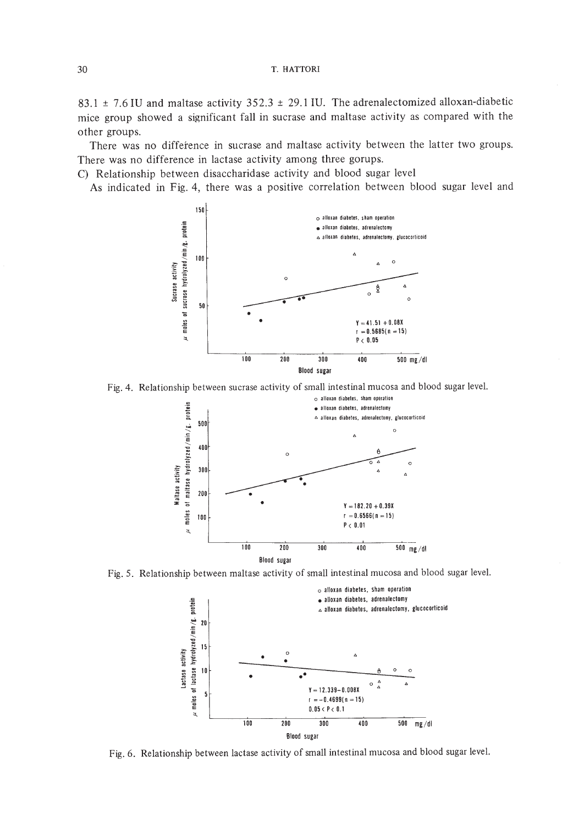83.1  $\pm$  7.6 IU and maltase activity 352.3  $\pm$  29.1 IU. The adrenalectomized alloxan-diabetic mice group showed a significant fall in sucrase and maltase activity as compared with the other groups.

There was no difference in sucrase and maltase activity between the latter two groups. There was no difference in lactase activity among three gorups.

C) Relationship between disaccharidase activity and blood sugar level

As indicated in Fig. 4, there was a positive correlation between blood sugar level and



Fig. 4. Relationship between sucrase activity of small intestinal mucosa and blood sugar level.



Fig. 5. Relationship between maltase activity of small intestinal mucosa and blood sugar level.



Fig. 6, Relationship between lactase activity of small intestinal mucosa and blood sugar level.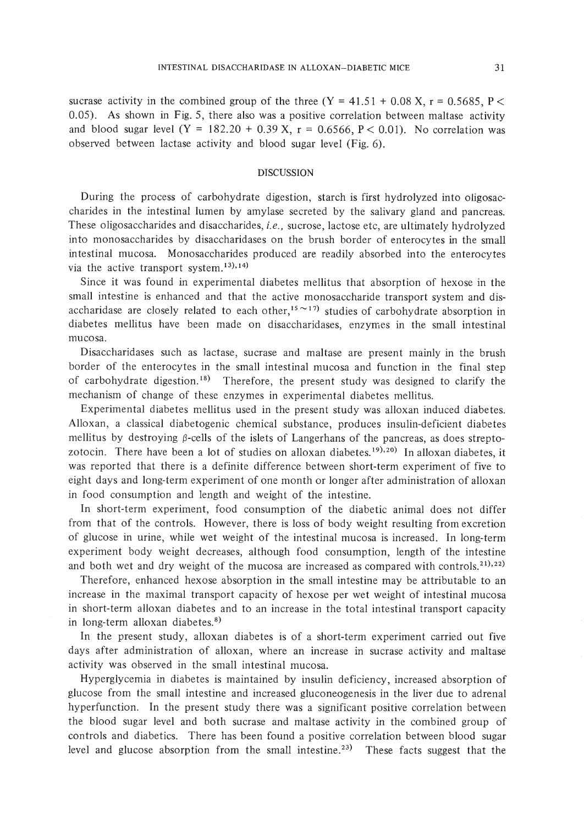sucrase activity in the combined group of the three  $(Y = 41.51 + 0.08 X, r = 0.5685, P <$ 0.05). As shown in Fig. 5, there also was a positive correlation between maltase activity and blood sugar level  $(Y = 182.20 + 0.39 X, r = 0.6566, P < 0.01)$ . No correlation was observed between lactase activity and blood sugar level (Fig. 6).

## DISCUSSION

During the process of carbohydrate digestion, starch is first hydrolyzed into oligosaccharides in the intestinal lumen by amylase secreted by the salivary gland and pancreas. These oligosaccharides and disaccharides, i.e., sucrose, lactose etc, are ultimately hydrolyzed into monosaccharides by disaccharidases on the brush border of enterocytes in the small intestinal mucosa. Monosaccharides produced are readily absorbed into the enterocytes via the active transport system.<sup>13),14)</sup>

Since it was found in experimental diabetes mellitus that absorption of hexose in the small intestine is enhanced and that the active monosaccharide transport system and disaccharidase are closely related to each other,<sup>15</sup> $\sim$ 17) studies of carbohydrate absorption in diabetes mellitus have been made on disaccharidases, enzymes in the small intestinal mucosa.

Disaccharidases such as lactase, sucrase and maltase are present mainly in the brush border of the enterocytes in the small intestinal mucosa and function in the final step of carbohydrate digestion.<sup>18)</sup> Therefore, the present study was designed to clarify the mechanism of change of these enzymes in experimental diabetes mellitus.

Experimental diabetes mellitus used in the present study was alloxan induced diabetes. Alloxan, a classical diabetogenic chemical substance, produces insulin-deficient diabetes mellitus by destroying  $\beta$ -cells of the islets of Langerhans of the pancreas, as does streptozotocin. There have been a lot of studies on alloxan diabetes.<sup>19),20</sup> In alloxan diabetes, it was reported that there is a definite difference between short-term experiment of five to eight days and long-term experiment of one month or longer after administration of alloxan in food consumption and length and weight of the intestine.

In short-term experiment, food consumption of the diabetic animal does not differ from that of the controls. However, there is loss of body weight resulting from excretion of glucose in urine, while wet weight of the intestinal mucosa is increased. In long-term experiment body weight decreases, although food consumption, length of the intestine and both wet and dry weight of the mucosa are increased as compared with controls.<sup>21</sup>,<sup>22</sup>)

Therefore, enhanced hexose absorption in the small intestine may be attributable to an increase in the maximal transport capacity of hexose per wet weight of intestinal mucosa in short-term alloxan diabetes and to an increase in the total intestinal transport capacity in long-term alloxan diabetes.<sup>8)</sup>

In the present study, alloxan diabetes is of a short-term experiment carried out five days after administration of alloxan, where an increase in sucrase activity and maltase activity was observed in the small intestinal mucosa.

Hyperglycemia in diabetes is maintained by insulin deficiency, increased absorption of glucose from the small intestine and increased gluconeogenesis in the liver due to adrenal hyperfunction. In the present study there was a significant positive correlation between the blood sugar level and both sucrase and maltase activity in the combined group of controls and diabetics. There has been found a positive correlation between blood sugar level and glucose absorption from the small intestine.<sup>23)</sup> These facts suggest that the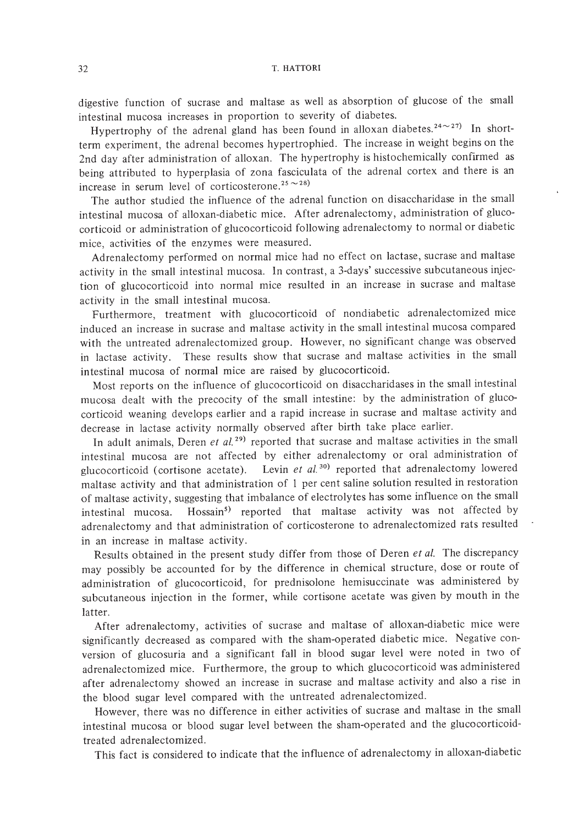digestive function of sucrase and maltase as well as absorption of glucose of the small intestinal mucosa increases in proportion to severity of diabetes.

Hypertrophy of the adrenal gland has been found in alloxan diabetes.<sup>24 $\sim$ 27)</sup> In shortterm experiment, the adrenal becomes hypertrophied. The increase in weight begins on the 2nd day after administration of alloxan. The hypertrophy is histochemically confirmed as being attributed to hyperplasia of zona fasciculata of the adrenal cortex and there is an increase in serum level of corticosterone.<sup>25</sup> $\sim$ <sup>28)</sup>

The author studied the influence of the adrenal function on disaccharidase in the small intestinal mucosa of alloxan-diabetic mice. After adrenalectomy, administration of glucocorticoid or administration of glucocorticoid following adrenalectomy to normal or diabetic mice, activities of the enzymes were measured.

Adrenalectomy performed on normal mice had no effect on lactase, sucrase and maltase activity in the small intestinal mucosa. In contrast, a 3-days' successive subcutaneous injection of glucocorticoid into normal mice resulted in an increase in sucrase and maltase activity in the small intestinal mucosa.

Furthermore, treatment with glucocorticoid of nondiabetic adrenalectomized mice induced an increase in sucrase and maltase activity in the small intestinal mucosa compared with the untreated adrenalectomized group. However, no significant change was observed in lactase activity. These results show that sucrase and maltase activities in the small intestinal mucosa of normal mice are raised by glucocorticoid.

Most reports on the influence of glucocorticoid on disaccharidases in the small intestinal mucosa dealt with the precocity of the small intestine: by the administration of glucocorticoid weaning develops earlier and a rapid increase in sucrase and maltase activity and decrease in lactase activity normally observed after birth take place earlier.

In adult animals, Deren *et al. 29)* reported that sucrase and maltase activities in the small intestinal mucosa are not affected by either adrenalectomy or oral administration of glucocorticoid (cortisone acetate). Levin et al.<sup>30)</sup> reported that adrenalectomy lowered maltase activity and that administration of I per cent saline solution resulted in restoration of maltase activity, suggesting that imbalance of electrolytes has some influence on the small intestinal mucosa. Hossain<sup>5)</sup> reported that maltase activity was not affected by adrenalectomy and that administration of corticosterone to adrenalectomized rats resulted in an increase in maltase activity.

Results obtained in the present study differ from those of Deren *et al.* The discrepancy may possibly be accounted for by the difference in chemical structure, dose or route of administration of glucocorticoid, for prednisolone hemisuccinate was administered by subcutaneous injection in the former, while cortisone acetate was given by mouth in the latter.

After adrenalectomy, activities of sucrase and maltase of alloxan-diabetic mice were significantly decreased as compared with the sham-operated diabetic mice. Negative conversion of glucosuria and a significant fall in blood sugar level were noted in two of adrenalectomized mice. Furthermore, the group to which glucocorticoid was administered after adrenalectomy showed an increase in sucrase and maltase activity and also a rise in the blood sugar level compared with the untreated adrenalectomized.

However, there was no difference in either activities of sucrase and maltase in the small intestinal mucosa or blood sugar level between the sham-operated and the glucocorticoidtreated adrenalectomized.

This fact is considered to indicate that the influence of adrenalectomy in alloxan-diabetic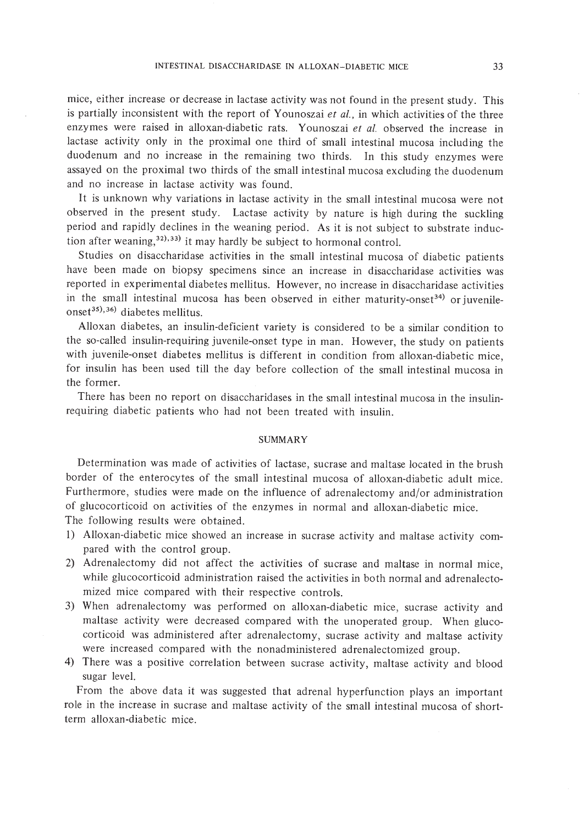mice, either increase or decrease in lactase activity was not found in the present study. This is partially inconsistent with the report of Younoszai *et ai.,* in which activities of the three enzymes were raised in alloxan-diabetic rats. Younoszai *et al.* observed the increase in lactase activity only in the proximal one third of small intestinal mucosa including the duodenum and no increase in the remaining two thirds. In this study enzymes were assayed on the proximal two thirds of the small intestinal mucosa excluding the duodenum and no increase in lactase activity was found.

It is unknown why variations in lactase activity in the small intestinal mucosa were not observed in the present study. Lactase activity by nature is high during the suckling period and rapidly declines in the weaning period. As it is not subject to substrate induction after weaning, $32)$ , $33)$  it may hardly be subject to hormonal control.

Studies on disaccharidase activities in the small intestinal mucosa of diabetic patients have been made on biopsy specimens since an increase in disaccharidase activities was reported in experimental diabetes mellitus. However, no increase in disaccharidase activities in the small intestinal mucosa has been observed in either maturity-onset<sup>34</sup>) or juvenile $onset^{35},^{36}$  diabetes mellitus.

Alloxan diabetes, an insulin-deficient variety is considered to be a similar condition to the so-called insulin-requiring juvenile-onset type in man. However, the study on patients with juvenile-onset diabetes mellitus is different in condition from alloxan-diabetic mice, for insulin has been used till the day before collection of the small intestinal mucosa in the former.

There has been no report on disaccharidases in the small intestinal mucosa in the insulinrequiring diabetic patients who had not been treated with insulin.

### SUMMARY

Determination was made of activities of lactase, sucrase and maltase located in the brush border of the enterocytes of the small intestinal mucosa of alloxan-diabetic adult mice. Furthermore, studies were made on the influence of adrenalectomy and/or administration of glucocorticoid on activities of the enzymes in normal and alloxan-diabetic mice. The following results were obtained.

- I) Alloxan-diabetic mice showed an increase in sucrase activity and maltase activity compared with the control group.
- 2) Adrenalectomy did not affect the activities of sucrase and maltase in normal mice, while glucocorticoid administration raised the activities in both normal and adrenalectomized mice compared with their respective controls.
- 3) When adrenalectomy was performed on alloxan-diabetic mice, sucrase activity and maltase activity were decreased compared with the unoperated group. When glucocorticoid was administered after adrenalectomy, sucrase activity and maltase activity were increased compared with the nonadministered adrenalectomized group.
- 4) There was a positive correlation between sucrase activity, maltase activity and blood sugar level.

From the above data it was suggested that adrenal hyperfunction plays an important role in the increase in sucrase and maltase activity of the small intestinal mucosa of shortterm alloxan-diabetic mice.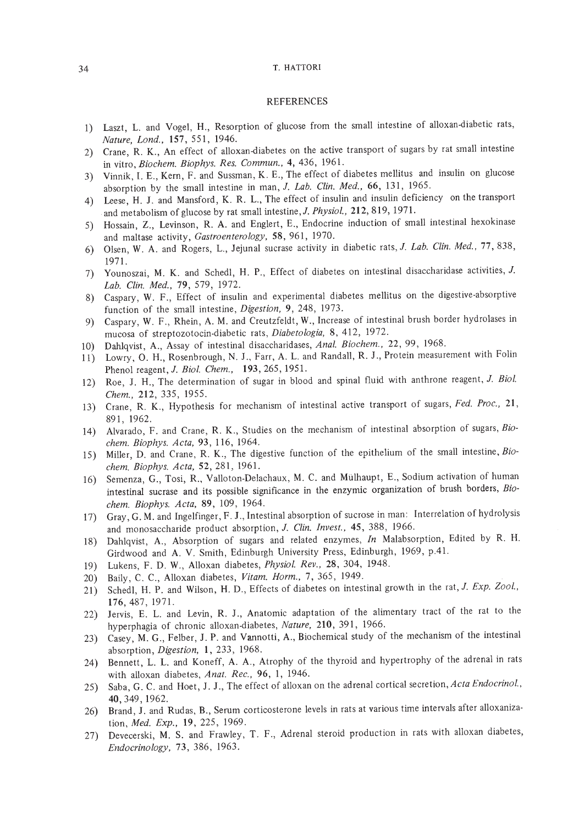#### REFERENCES

- I) Laszt, L. and Vogel, H., Resorption of glucose from the small intestine of alloxan-diabetic rats, *Nature, Lond.,* 157,551, 1946.
- 2) Crane, R. K., An effect of alloxan-diabetes on the active transport of sugars by rat small intestine in vitro, *Biochern. Biophys. Res. Cornrnun.,* 4, 436, 1961.
- 3) Vinnik, I. E., Kern, F. and Sussman, K. E., The effect of diabetes mellitus and insulin on glucose absorption by the small intestine in man, J. *Lab. Clin. Med.,* 66, 131, 1965.
- 4) Leese, H. J. and Mansford, K. R. L., The effect of insulin and insulin deficiency on the transport and metabolism of glucose by rat small intestine, J. Physiol., 212, 819, 1971.
- 5) Hossain, Z., Levinson, R. A. and Englert, E., Endocrine induction of small intestinal hexokinase and maltase activity, *Gastroenterology,* 58,961, 1970.
- 6) Olsen, W. A. and Rogers, L., Jejunal sucrase activity in diabetic rats, 1. *Lab. Clin. Med.,* 77, 838, 1971.
- 7) Younoszai, M. K. and Schedl, H. P., Effect of diabetes on intestinal disaccharidase activities, J. *Lab. Clin. Med.,* 79, 579, 1972.
- 8) Caspary, W. F., Effect of insulin and experimental diabetes mellitus on the digestive-absorptive function of the small intestine, *Digestion,* 9, 248, 1973.
- 9) Caspary, W. F., Rhein, A. M. and Creutzfeldt, W., Increase of intestinal brush border hydrolases in mucosa of streptozotocin·diabetic rats, *Diabetologia,* 8, 412, 1972.
- 10) Dahlqvist, A., Assay of intestinal disaccharidases, *Anal. Biochern.,* 22,99, 1968.
- II) Lowry, O. H., Rosenbrough, N. 1., Farr, A. L. and Randall, R. J., Protein measurement with Folin Phenol reagent,J. *Bioi. Chern.,* 193,265,1951.
- 12) Roe, J. H., The determination of sugar in blood and spinal fluid with anthrone reagent, J. *Bio/. Chern.,* 212, 335, 1955.
- 13) Crane, R. K., Hypothesis for mechanism of intestinal active transport of sugars, *Fed. Proc.,* 21, 891, 1962.
- 14) Alvarado, F. and Crane, R. K., Studies on the mechanism of intestinal absorption of sugars, *Biochern. Biophys. Acta,* 93, 116, 1964.
- IS) Miller, D. and Crane, R. K., The digestive function of the epithelium of the small intestine, *Biochern. Biophys. Acta,* 52,281, 1961.
- 16) Semenza, G., Tosi, R., Valloton-Delachaux, M. C. and Mulhaupt, E., Sodium activation of human intestinal sucrase and its possible significance in the enzymic organization of brush borders, *Biochern. Biophys. Acta,* 89, 109, 1964.
- 17) Gray, G. M. and Ingelfinger, F. J., Intestinal absorption of sucrose in man: Interrelation of hydrolysis and monosaccharide product absorption, J. *Clin. Invest.,* 45, 388, 1966.
- 18) DahIqvist, A., Absorption of sugars and related enzymes, *In* Malabsorption, Edited by R. H. Girdwood and A. V. Smith, Edinburgh University Press, Edinburgh, 1969, p.41.
- 19) Lukens, F. D. W., Alloxan diabetes, *Physiol. Rev.,* 28, 304, 1948.
- 20) Baily, C. C., Alloxan diabetes, *Vitarn. Horrn.,* 7,365, 1949.
- 21) Schedl, H. P. and Wilson, H. D., Effects of diabetes on intestinal growth in the rat, J. *Exp. Zoo!.,* 176,487, 1971.
- 22) Jervis, E. L. and Levin, R. 1., Anatomic adaptation of the alimentary tract of the rat to the hyperphagia of chronic alloxan-diabetes, *Nature,* 210, 391, 1966.
- 23) Casey, M. G., Felber, 1. P. and Vannotti, A., Biochemical study of the mechanism of the intestinal absorption, *Digestion,* 1, 233, 1968.
- 24) Bennett, L. L. and Koneff, A. A., Atrophy of the thyroid and hypertrophy of the adrenal in rats with alloxan diabetes, *Anat. Rec.,* 96, I, 1946.
- 25) Saba, G. C. and Hoet, 1. J., The effect of alloxan on the adrenal cortical secretion, *Acta Endocrinol.,* 40, 349, 1962.
- 26) Brand, J. and Rudas, B., Serum corticosterone levels in rats at various time intervals after alloxanization, *Med. Exp.,* 19,225, 1969.
- 27) Devecerski, M. S. and Frawley, T. F., Adrenal steroid production in rats with alloxan diabetes, *Endocrinology,* 73, 386, 1963.